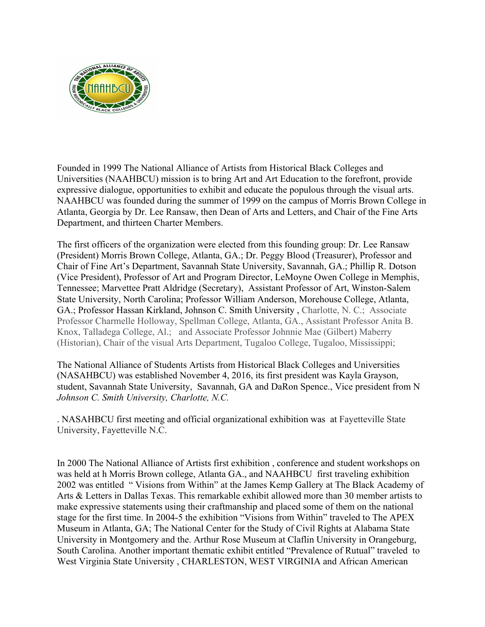

Founded in 1999 The National Alliance of Artists from Historical Black Colleges and Universities (NAAHBCU) mission is to bring Art and Art Education to the forefront, provide expressive dialogue, opportunities to exhibit and educate the populous through the visual arts. NAAHBCU was founded during the summer of 1999 on the campus of Morris Brown College in Atlanta, Georgia by Dr. Lee Ransaw, then Dean of Arts and Letters, and Chair of the Fine Arts Department, and thirteen Charter Members.

The first officers of the organization were elected from this founding group: Dr. Lee Ransaw (President) Morris Brown College, Atlanta, GA.; Dr. Peggy Blood (Treasurer), Professor and Chair of Fine Art's Department, Savannah State University, Savannah, GA.; Phillip R. Dotson (Vice President), Professor of Art and Program Director, LeMoyne Owen College in Memphis, Tennessee; Marvettee Pratt Aldridge (Secretary), Assistant Professor of Art, Winston-Salem State University, North Carolina; Professor William Anderson, Morehouse College, Atlanta, GA.; Professor Hassan Kirkland, Johnson C. Smith University , Charlotte, N. C.; Associate Professor Charmelle Holloway, Spellman College, Atlanta, GA., Assistant Professor Anita B. Knox, Talladega College, Al.; and Associate Professor Johnnie Mae (Gilbert) Maberry (Historian), Chair of the visual Arts Department, Tugaloo College, Tugaloo, Mississippi;

The National Alliance of Students Artists from Historical Black Colleges and Universities (NASAHBCU) was established November 4, 2016, its first president was Kayla Grayson, student, Savannah State University, Savannah, GA and DaRon Spence., Vice president from N *Johnson C. Smith University, Charlotte, N.C.*

. NASAHBCU first meeting and official organizational exhibition was at Fayetteville State University, Fayetteville N.C.

In 2000 The National Alliance of Artists first exhibition , conference and student workshops on was held at h Morris Brown college, Atlanta GA., and NAAHBCU first traveling exhibition 2002 was entitled " Visions from Within" at the James Kemp Gallery at The Black Academy of Arts & Letters in Dallas Texas. This remarkable exhibit allowed more than 30 member artists to make expressive statements using their craftmanship and placed some of them on the national stage for the first time. In 2004-5 the exhibition "Visions from Within" traveled to The APEX Museum in Atlanta, GA; The National Center for the Study of Civil Rights at Alabama State University in Montgomery and the. Arthur Rose Museum at Claflin University in Orangeburg, South Carolina. Another important thematic exhibit entitled "Prevalence of Rutual" traveled to West Virginia State University , CHARLESTON, WEST VIRGINIA and African American